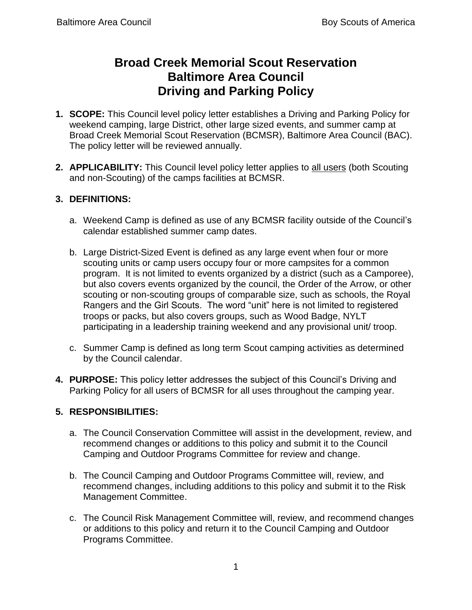## **Broad Creek Memorial Scout Reservation Baltimore Area Council Driving and Parking Policy**

- **1. SCOPE:** This Council level policy letter establishes a Driving and Parking Policy for weekend camping, large District, other large sized events, and summer camp at Broad Creek Memorial Scout Reservation (BCMSR), Baltimore Area Council (BAC). The policy letter will be reviewed annually.
- **2. APPLICABILITY:** This Council level policy letter applies to all users (both Scouting and non-Scouting) of the camps facilities at BCMSR.

## **3. DEFINITIONS:**

- a. Weekend Camp is defined as use of any BCMSR facility outside of the Council's calendar established summer camp dates.
- b. Large District-Sized Event is defined as any large event when four or more scouting units or camp users occupy four or more campsites for a common program. It is not limited to events organized by a district (such as a Camporee), but also covers events organized by the council, the Order of the Arrow, or other scouting or non-scouting groups of comparable size, such as schools, the Royal Rangers and the Girl Scouts. The word "unit" here is not limited to registered troops or packs, but also covers groups, such as Wood Badge, NYLT participating in a leadership training weekend and any provisional unit/ troop.
- c. Summer Camp is defined as long term Scout camping activities as determined by the Council calendar.
- **4. PURPOSE:** This policy letter addresses the subject of this Council's Driving and Parking Policy for all users of BCMSR for all uses throughout the camping year.

## **5. RESPONSIBILITIES:**

- a. The Council Conservation Committee will assist in the development, review, and recommend changes or additions to this policy and submit it to the Council Camping and Outdoor Programs Committee for review and change.
- b. The Council Camping and Outdoor Programs Committee will, review, and recommend changes, including additions to this policy and submit it to the Risk Management Committee.
- c. The Council Risk Management Committee will, review, and recommend changes or additions to this policy and return it to the Council Camping and Outdoor Programs Committee.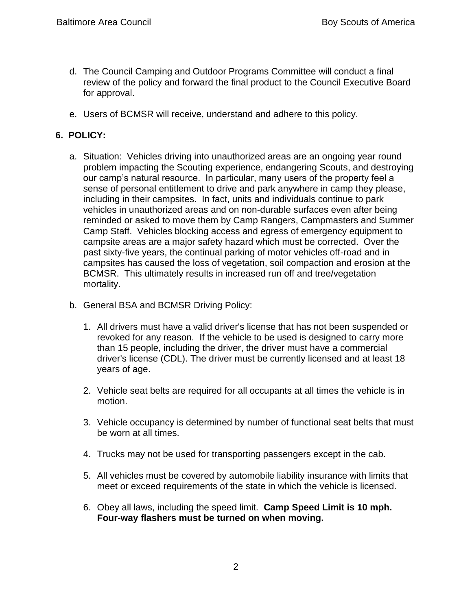- d. The Council Camping and Outdoor Programs Committee will conduct a final review of the policy and forward the final product to the Council Executive Board for approval.
- e. Users of BCMSR will receive, understand and adhere to this policy.

## **6. POLICY:**

- a. Situation:Vehicles driving into unauthorized areas are an ongoing year round problem impacting the Scouting experience, endangering Scouts, and destroying our camp's natural resource. In particular, many users of the property feel a sense of personal entitlement to drive and park anywhere in camp they please, including in their campsites. In fact, units and individuals continue to park vehicles in unauthorized areas and on non-durable surfaces even after being reminded or asked to move them by Camp Rangers, Campmasters and Summer Camp Staff. Vehicles blocking access and egress of emergency equipment to campsite areas are a major safety hazard which must be corrected. Over the past sixty-five years, the continual parking of motor vehicles off-road and in campsites has caused the loss of vegetation, soil compaction and erosion at the BCMSR. This ultimately results in increased run off and tree/vegetation mortality.
- b. General BSA and BCMSR Driving Policy:
	- 1. All drivers must have a valid driver's license that has not been suspended or revoked for any reason. If the vehicle to be used is designed to carry more than 15 people, including the driver, the driver must have a commercial driver's license (CDL). The driver must be currently licensed and at least 18 years of age.
	- 2. Vehicle seat belts are required for all occupants at all times the vehicle is in motion.
	- 3. Vehicle occupancy is determined by number of functional seat belts that must be worn at all times.
	- 4. Trucks may not be used for transporting passengers except in the cab.
	- 5. All vehicles must be covered by automobile liability insurance with limits that meet or exceed requirements of the state in which the vehicle is licensed.
	- 6. Obey all laws, including the speed limit. **Camp Speed Limit is 10 mph. Four-way flashers must be turned on when moving.**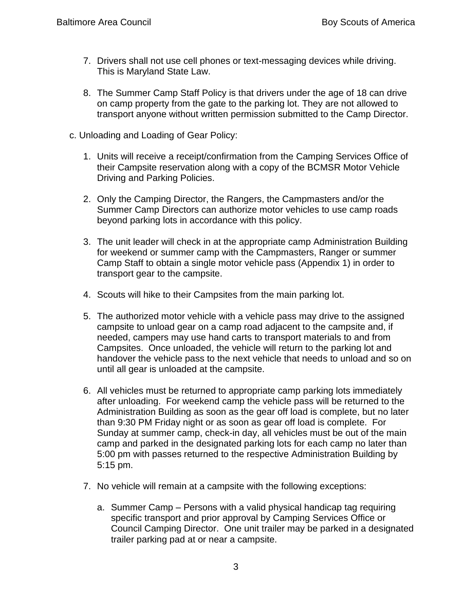- 7. Drivers shall not use cell phones or text-messaging devices while driving. This is Maryland State Law.
- 8. The Summer Camp Staff Policy is that drivers under the age of 18 can drive on camp property from the gate to the parking lot. They are not allowed to transport anyone without written permission submitted to the Camp Director.
- c. Unloading and Loading of Gear Policy:
	- 1. Units will receive a receipt/confirmation from the Camping Services Office of their Campsite reservation along with a copy of the BCMSR Motor Vehicle Driving and Parking Policies.
	- 2. Only the Camping Director, the Rangers, the Campmasters and/or the Summer Camp Directors can authorize motor vehicles to use camp roads beyond parking lots in accordance with this policy.
	- 3. The unit leader will check in at the appropriate camp Administration Building for weekend or summer camp with the Campmasters, Ranger or summer Camp Staff to obtain a single motor vehicle pass (Appendix 1) in order to transport gear to the campsite.
	- 4. Scouts will hike to their Campsites from the main parking lot.
	- 5. The authorized motor vehicle with a vehicle pass may drive to the assigned campsite to unload gear on a camp road adjacent to the campsite and, if needed, campers may use hand carts to transport materials to and from Campsites. Once unloaded, the vehicle will return to the parking lot and handover the vehicle pass to the next vehicle that needs to unload and so on until all gear is unloaded at the campsite.
	- 6. All vehicles must be returned to appropriate camp parking lots immediately after unloading. For weekend camp the vehicle pass will be returned to the Administration Building as soon as the gear off load is complete, but no later than 9:30 PM Friday night or as soon as gear off load is complete. For Sunday at summer camp, check-in day, all vehicles must be out of the main camp and parked in the designated parking lots for each camp no later than 5:00 pm with passes returned to the respective Administration Building by 5:15 pm.
	- 7. No vehicle will remain at a campsite with the following exceptions:
		- a. Summer Camp Persons with a valid physical handicap tag requiring specific transport and prior approval by Camping Services Office or Council Camping Director. One unit trailer may be parked in a designated trailer parking pad at or near a campsite.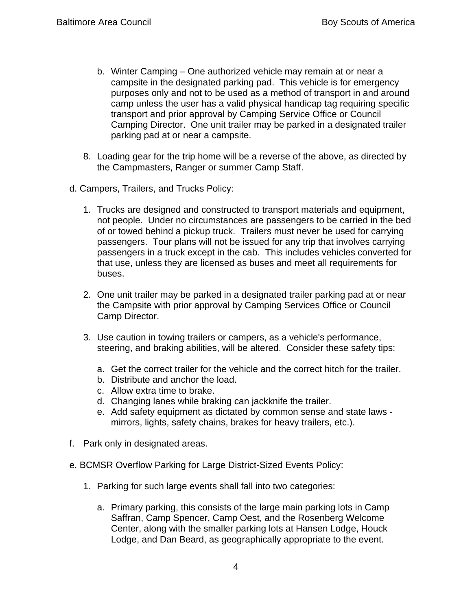- b. Winter Camping One authorized vehicle may remain at or near a campsite in the designated parking pad. This vehicle is for emergency purposes only and not to be used as a method of transport in and around camp unless the user has a valid physical handicap tag requiring specific transport and prior approval by Camping Service Office or Council Camping Director. One unit trailer may be parked in a designated trailer parking pad at or near a campsite.
- 8. Loading gear for the trip home will be a reverse of the above, as directed by the Campmasters, Ranger or summer Camp Staff.
- d. Campers, Trailers, and Trucks Policy:
	- 1. Trucks are designed and constructed to transport materials and equipment, not people. Under no circumstances are passengers to be carried in the bed of or towed behind a pickup truck. Trailers must never be used for carrying passengers. Tour plans will not be issued for any trip that involves carrying passengers in a truck except in the cab. This includes vehicles converted for that use, unless they are licensed as buses and meet all requirements for buses.
	- 2. One unit trailer may be parked in a designated trailer parking pad at or near the Campsite with prior approval by Camping Services Office or Council Camp Director.
	- 3. Use caution in towing trailers or campers, as a vehicle's performance, steering, and braking abilities, will be altered. Consider these safety tips:
		- a. Get the correct trailer for the vehicle and the correct hitch for the trailer.
		- b. Distribute and anchor the load.
		- c. Allow extra time to brake.
		- d. Changing lanes while braking can jackknife the trailer.
		- e. Add safety equipment as dictated by common sense and state laws mirrors, lights, safety chains, brakes for heavy trailers, etc.).
- f. Park only in designated areas.
- e. BCMSR Overflow Parking for Large District-Sized Events Policy:
	- 1. Parking for such large events shall fall into two categories:
		- a. Primary parking, this consists of the large main parking lots in Camp Saffran, Camp Spencer, Camp Oest, and the Rosenberg Welcome Center, along with the smaller parking lots at Hansen Lodge, Houck Lodge, and Dan Beard, as geographically appropriate to the event.